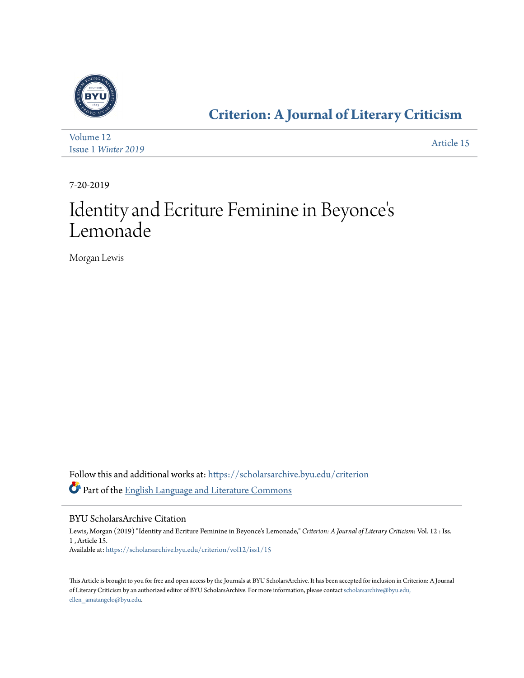

### **[Criterion: A Journal of Literary Criticism](https://scholarsarchive.byu.edu/criterion?utm_source=scholarsarchive.byu.edu%2Fcriterion%2Fvol12%2Fiss1%2F15&utm_medium=PDF&utm_campaign=PDFCoverPages)**

| Volume 12                  | Article 15 |
|----------------------------|------------|
| <b>Issue 1 Winter 2019</b> |            |

7-20-2019

### Identity and Ecriture Feminine in Beyonce ' s Lemonade

Morgan Lewis

Follow this and additional works at: [https://scholarsarchive.byu.edu/criterion](https://scholarsarchive.byu.edu/criterion?utm_source=scholarsarchive.byu.edu%2Fcriterion%2Fvol12%2Fiss1%2F15&utm_medium=PDF&utm_campaign=PDFCoverPages) Part of the [English Language and Literature Commons](http://network.bepress.com/hgg/discipline/455?utm_source=scholarsarchive.byu.edu%2Fcriterion%2Fvol12%2Fiss1%2F15&utm_medium=PDF&utm_campaign=PDFCoverPages)

#### BYU ScholarsArchive Citation

Lewis, Morgan (2019) "Identity and Ecriture Feminine in Beyonce's Lemonade," *Criterion: A Journal of Literary Criticism*: Vol. 12 : Iss. 1 , Article 15. Available at: [https://scholarsarchive.byu.edu/criterion/vol12/iss1/15](https://scholarsarchive.byu.edu/criterion/vol12/iss1/15?utm_source=scholarsarchive.byu.edu%2Fcriterion%2Fvol12%2Fiss1%2F15&utm_medium=PDF&utm_campaign=PDFCoverPages)

This Article is brought to you for free and open access by the Journals at BYU ScholarsArchive. It has been accepted for inclusion in Criterion: A Journal of Literary Criticism by an authorized editor of BYU ScholarsArchive. For more information, please contact [scholarsarchive@byu.edu,](mailto:scholarsarchive@byu.edu,%20ellen_amatangelo@byu.edu) [ellen\\_amatangelo@byu.edu.](mailto:scholarsarchive@byu.edu,%20ellen_amatangelo@byu.edu)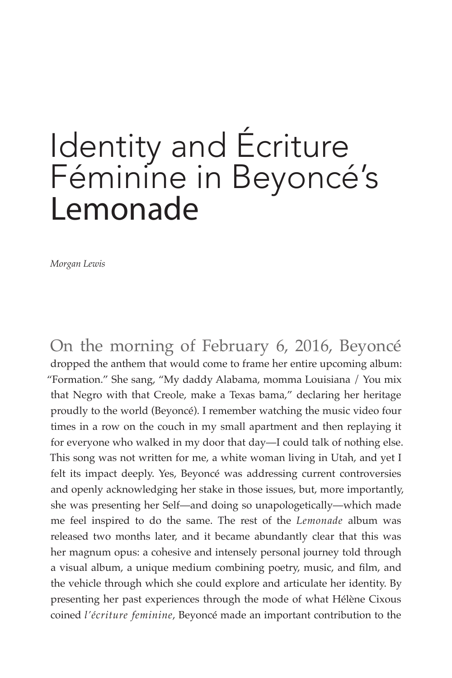# Identity and Écriture Féminine in Beyoncé's Lemonade

*Morgan Lewis*

On the morning of February 6, 2016, Beyoncé dropped the anthem that would come to frame her entire upcoming album: "Formation." She sang, "My daddy Alabama, momma Louisiana / You mix that Negro with that Creole, make a Texas bama," declaring her heritage proudly to the world (Beyoncé). I remember watching the music video four times in a row on the couch in my small apartment and then replaying it for everyone who walked in my door that day—I could talk of nothing else. This song was not written for me, a white woman living in Utah, and yet I felt its impact deeply. Yes, Beyoncé was addressing current controversies and openly acknowledging her stake in those issues, but, more importantly, she was presenting her Self—and doing so unapologetically—which made me feel inspired to do the same. The rest of the *Lemonade* album was released two months later, and it became abundantly clear that this was her magnum opus: a cohesive and intensely personal journey told through a visual album, a unique medium combining poetry, music, and film, and the vehicle through which she could explore and articulate her identity. By presenting her past experiences through the mode of what Hélène Cixous coined *l'écriture feminine*, Beyoncé made an important contribution to the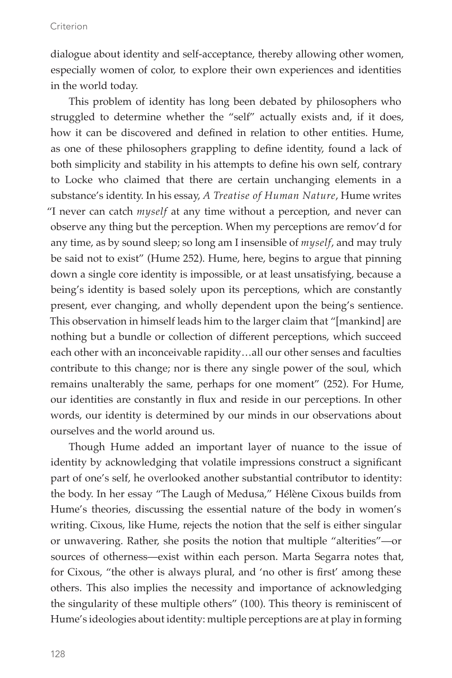dialogue about identity and self-acceptance, thereby allowing other women, especially women of color, to explore their own experiences and identities in the world today.

This problem of identity has long been debated by philosophers who struggled to determine whether the "self" actually exists and, if it does, how it can be discovered and defined in relation to other entities. Hume, as one of these philosophers grappling to define identity, found a lack of both simplicity and stability in his attempts to define his own self, contrary to Locke who claimed that there are certain unchanging elements in a substance's identity. In his essay, *A Treatise of Human Nature*, Hume writes "I never can catch *myself* at any time without a perception, and never can observe any thing but the perception. When my perceptions are remov'd for any time, as by sound sleep; so long am I insensible of *myself*, and may truly be said not to exist" (Hume 252). Hume, here, begins to argue that pinning down a single core identity is impossible, or at least unsatisfying, because a being's identity is based solely upon its perceptions, which are constantly present, ever changing, and wholly dependent upon the being's sentience. This observation in himself leads him to the larger claim that "[mankind] are nothing but a bundle or collection of different perceptions, which succeed each other with an inconceivable rapidity…all our other senses and faculties contribute to this change; nor is there any single power of the soul, which remains unalterably the same, perhaps for one moment" (252). For Hume, our identities are constantly in flux and reside in our perceptions. In other words, our identity is determined by our minds in our observations about ourselves and the world around us.

Though Hume added an important layer of nuance to the issue of identity by acknowledging that volatile impressions construct a significant part of one's self, he overlooked another substantial contributor to identity: the body. In her essay "The Laugh of Medusa," Hélène Cixous builds from Hume's theories, discussing the essential nature of the body in women's writing. Cixous, like Hume, rejects the notion that the self is either singular or unwavering. Rather, she posits the notion that multiple "alterities"—or sources of otherness—exist within each person. Marta Segarra notes that, for Cixous, "the other is always plural, and 'no other is first' among these others. This also implies the necessity and importance of acknowledging the singularity of these multiple others" (100). This theory is reminiscent of Hume's ideologies about identity: multiple perceptions are at play in forming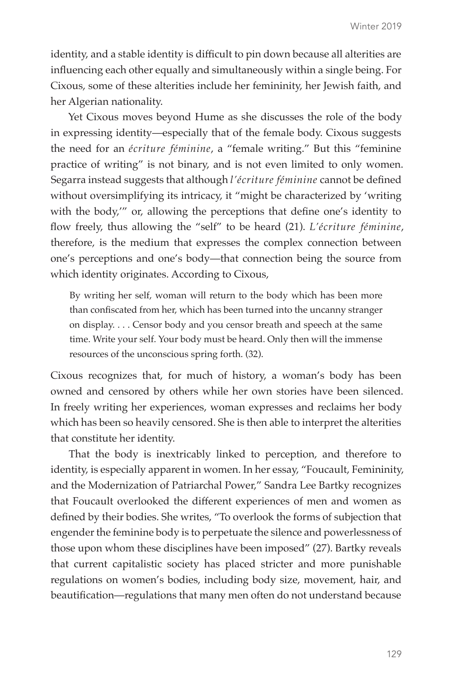identity, and a stable identity is difficult to pin down because all alterities are influencing each other equally and simultaneously within a single being. For Cixous, some of these alterities include her femininity, her Jewish faith, and her Algerian nationality.

Yet Cixous moves beyond Hume as she discusses the role of the body in expressing identity—especially that of the female body. Cixous suggests the need for an *écriture féminine*, a "female writing." But this "feminine practice of writing" is not binary, and is not even limited to only women. Segarra instead suggests that although *l'écriture féminine* cannot be defined without oversimplifying its intricacy, it "might be characterized by 'writing with the body,'" or, allowing the perceptions that define one's identity to flow freely, thus allowing the "self" to be heard (21). *L'écriture féminine*, therefore, is the medium that expresses the complex connection between one's perceptions and one's body—that connection being the source from which identity originates. According to Cixous,

By writing her self, woman will return to the body which has been more than confiscated from her, which has been turned into the uncanny stranger on display. . . . Censor body and you censor breath and speech at the same time. Write your self. Your body must be heard. Only then will the immense resources of the unconscious spring forth. (32).

Cixous recognizes that, for much of history, a woman's body has been owned and censored by others while her own stories have been silenced. In freely writing her experiences, woman expresses and reclaims her body which has been so heavily censored. She is then able to interpret the alterities that constitute her identity.

That the body is inextricably linked to perception, and therefore to identity, is especially apparent in women. In her essay, "Foucault, Femininity, and the Modernization of Patriarchal Power," Sandra Lee Bartky recognizes that Foucault overlooked the different experiences of men and women as defined by their bodies. She writes, "To overlook the forms of subjection that engender the feminine body is to perpetuate the silence and powerlessness of those upon whom these disciplines have been imposed" (27). Bartky reveals that current capitalistic society has placed stricter and more punishable regulations on women's bodies, including body size, movement, hair, and beautification—regulations that many men often do not understand because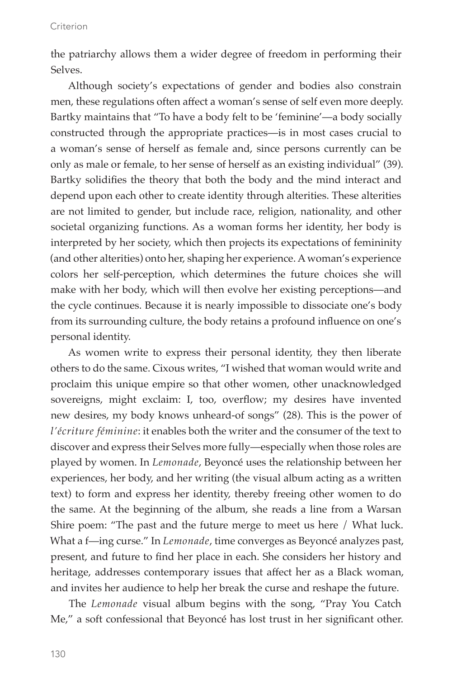the patriarchy allows them a wider degree of freedom in performing their Selves.

Although society's expectations of gender and bodies also constrain men, these regulations often affect a woman's sense of self even more deeply. Bartky maintains that "To have a body felt to be 'feminine'—a body socially constructed through the appropriate practices—is in most cases crucial to a woman's sense of herself as female and, since persons currently can be only as male or female, to her sense of herself as an existing individual" (39). Bartky solidifies the theory that both the body and the mind interact and depend upon each other to create identity through alterities. These alterities are not limited to gender, but include race, religion, nationality, and other societal organizing functions. As a woman forms her identity, her body is interpreted by her society, which then projects its expectations of femininity (and other alterities) onto her, shaping her experience. A woman's experience colors her self-perception, which determines the future choices she will make with her body, which will then evolve her existing perceptions—and the cycle continues. Because it is nearly impossible to dissociate one's body from its surrounding culture, the body retains a profound influence on one's personal identity.

As women write to express their personal identity, they then liberate others to do the same. Cixous writes, "I wished that woman would write and proclaim this unique empire so that other women, other unacknowledged sovereigns, might exclaim: I, too, overflow; my desires have invented new desires, my body knows unheard-of songs" (28). This is the power of *l'écriture féminine*: it enables both the writer and the consumer of the text to discover and express their Selves more fully—especially when those roles are played by women. In *Lemonade*, Beyoncé uses the relationship between her experiences, her body, and her writing (the visual album acting as a written text) to form and express her identity, thereby freeing other women to do the same. At the beginning of the album, she reads a line from a Warsan Shire poem: "The past and the future merge to meet us here / What luck. What a f—ing curse." In *Lemonade*, time converges as Beyoncé analyzes past, present, and future to find her place in each. She considers her history and heritage, addresses contemporary issues that affect her as a Black woman, and invites her audience to help her break the curse and reshape the future.

The *Lemonade* visual album begins with the song, "Pray You Catch Me," a soft confessional that Beyoncé has lost trust in her significant other.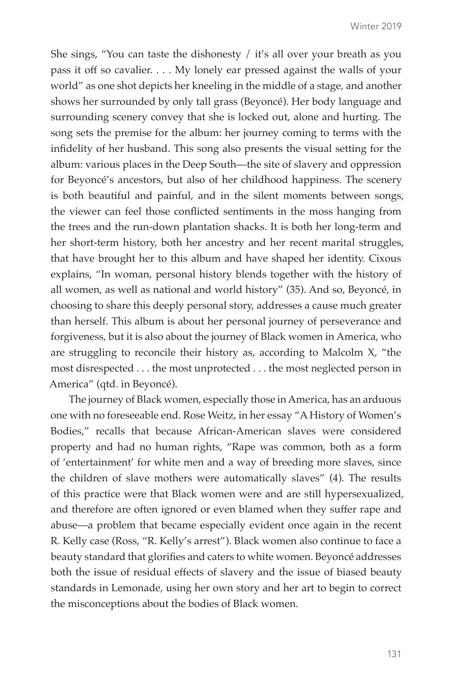She sings, "You can taste the dishonesty / it's all over your breath as you pass it off so cavalier. . . . My lonely ear pressed against the walls of your world" as one shot depicts her kneeling in the middle of a stage, and another shows her surrounded by only tall grass (Beyoncé). Her body language and surrounding scenery convey that she is locked out, alone and hurting. The song sets the premise for the album: her journey coming to terms with the infidelity of her husband. This song also presents the visual setting for the album: various places in the Deep South—the site of slavery and oppression for Beyoncé's ancestors, but also of her childhood happiness. The scenery is both beautiful and painful, and in the silent moments between songs, the viewer can feel those conflicted sentiments in the moss hanging from the trees and the run-down plantation shacks. It is both her long-term and her short-term history, both her ancestry and her recent marital struggles, that have brought her to this album and have shaped her identity. Cixous explains, "In woman, personal history blends together with the history of all women, as well as national and world history" (35). And so, Beyoncé, in choosing to share this deeply personal story, addresses a cause much greater than herself. This album is about her personal journey of perseverance and forgiveness, but it is also about the journey of Black women in America, who are struggling to reconcile their history as, according to Malcolm X, "the most disrespected . . . the most unprotected . . . the most neglected person in America" (qtd. in Beyoncé).

The journey of Black women, especially those in America, has an arduous one with no foreseeable end. Rose Weitz, in her essay "A History of Women's Bodies," recalls that because African-American slaves were considered property and had no human rights, "Rape was common, both as a form of 'entertainment' for white men and a way of breeding more slaves, since the children of slave mothers were automatically slaves" (4). The results of this practice were that Black women were and are still hypersexualized, and therefore are often ignored or even blamed when they suffer rape and abuse—a problem that became especially evident once again in the recent R. Kelly case (Ross, "R. Kelly's arrest"). Black women also continue to face a beauty standard that glorifies and caters to white women. Beyoncé addresses both the issue of residual effects of slavery and the issue of biased beauty standards in Lemonade, using her own story and her art to begin to correct the misconceptions about the bodies of Black women.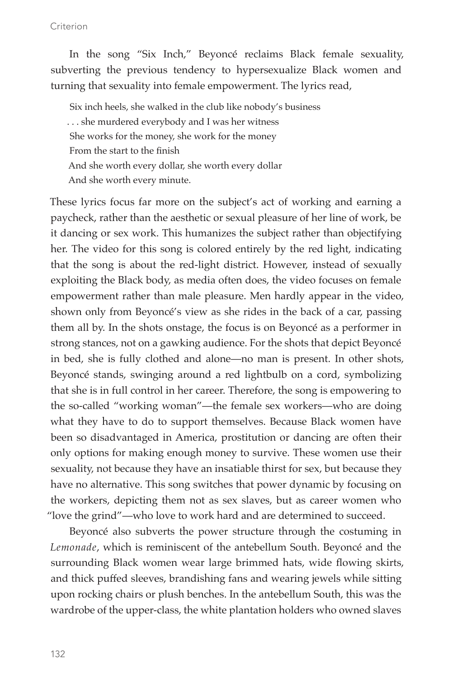#### Criterion

In the song "Six Inch," Beyoncé reclaims Black female sexuality, subverting the previous tendency to hypersexualize Black women and turning that sexuality into female empowerment. The lyrics read,

Six inch heels, she walked in the club like nobody's business . . . she murdered everybody and I was her witness She works for the money, she work for the money From the start to the finish And she worth every dollar, she worth every dollar And she worth every minute.

These lyrics focus far more on the subject's act of working and earning a paycheck, rather than the aesthetic or sexual pleasure of her line of work, be it dancing or sex work. This humanizes the subject rather than objectifying her. The video for this song is colored entirely by the red light, indicating that the song is about the red-light district. However, instead of sexually exploiting the Black body, as media often does, the video focuses on female empowerment rather than male pleasure. Men hardly appear in the video, shown only from Beyoncé's view as she rides in the back of a car, passing them all by. In the shots onstage, the focus is on Beyoncé as a performer in strong stances, not on a gawking audience. For the shots that depict Beyoncé in bed, she is fully clothed and alone—no man is present. In other shots, Beyoncé stands, swinging around a red lightbulb on a cord, symbolizing that she is in full control in her career. Therefore, the song is empowering to the so-called "working woman"—the female sex workers—who are doing what they have to do to support themselves. Because Black women have been so disadvantaged in America, prostitution or dancing are often their only options for making enough money to survive. These women use their sexuality, not because they have an insatiable thirst for sex, but because they have no alternative. This song switches that power dynamic by focusing on the workers, depicting them not as sex slaves, but as career women who "love the grind"—who love to work hard and are determined to succeed.

Beyoncé also subverts the power structure through the costuming in *Lemonade*, which is reminiscent of the antebellum South. Beyoncé and the surrounding Black women wear large brimmed hats, wide flowing skirts, and thick puffed sleeves, brandishing fans and wearing jewels while sitting upon rocking chairs or plush benches. In the antebellum South, this was the wardrobe of the upper-class, the white plantation holders who owned slaves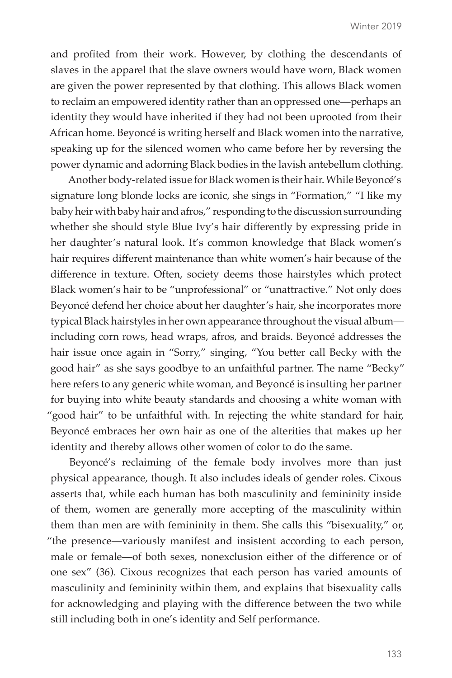and profited from their work. However, by clothing the descendants of slaves in the apparel that the slave owners would have worn, Black women are given the power represented by that clothing. This allows Black women to reclaim an empowered identity rather than an oppressed one—perhaps an identity they would have inherited if they had not been uprooted from their African home. Beyoncé is writing herself and Black women into the narrative, speaking up for the silenced women who came before her by reversing the power dynamic and adorning Black bodies in the lavish antebellum clothing.

Another body-related issue for Black women is their hair. While Beyoncé's signature long blonde locks are iconic, she sings in "Formation," "I like my baby heir with baby hair and afros," responding to the discussion surrounding whether she should style Blue Ivy's hair differently by expressing pride in her daughter's natural look. It's common knowledge that Black women's hair requires different maintenance than white women's hair because of the difference in texture. Often, society deems those hairstyles which protect Black women's hair to be "unprofessional" or "unattractive." Not only does Beyoncé defend her choice about her daughter's hair, she incorporates more typical Black hairstyles in her own appearance throughout the visual album including corn rows, head wraps, afros, and braids. Beyoncé addresses the hair issue once again in "Sorry," singing, "You better call Becky with the good hair" as she says goodbye to an unfaithful partner. The name "Becky" here refers to any generic white woman, and Beyoncé is insulting her partner for buying into white beauty standards and choosing a white woman with "good hair" to be unfaithful with. In rejecting the white standard for hair, Beyoncé embraces her own hair as one of the alterities that makes up her identity and thereby allows other women of color to do the same.

Beyoncé's reclaiming of the female body involves more than just physical appearance, though. It also includes ideals of gender roles. Cixous asserts that, while each human has both masculinity and femininity inside of them, women are generally more accepting of the masculinity within them than men are with femininity in them. She calls this "bisexuality," or, "the presence—variously manifest and insistent according to each person, male or female—of both sexes, nonexclusion either of the difference or of one sex" (36). Cixous recognizes that each person has varied amounts of masculinity and femininity within them, and explains that bisexuality calls for acknowledging and playing with the difference between the two while still including both in one's identity and Self performance.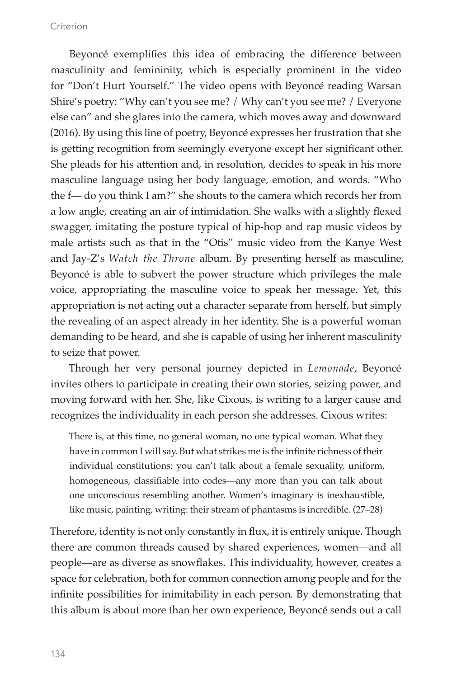#### Criterion

Beyoncé exemplifies this idea of embracing the difference between masculinity and femininity, which is especially prominent in the video for "Don't Hurt Yourself." The video opens with Beyoncé reading Warsan Shire's poetry: "Why can't you see me? / Why can't you see me? / Everyone else can" and she glares into the camera, which moves away and downward (2016). By using this line of poetry, Beyoncé expresses her frustration that she is getting recognition from seemingly everyone except her significant other. She pleads for his attention and, in resolution, decides to speak in his more masculine language using her body language, emotion, and words. "Who the f— do you think I am?" she shouts to the camera which records her from a low angle, creating an air of intimidation. She walks with a slightly flexed swagger, imitating the posture typical of hip-hop and rap music videos by male artists such as that in the "Otis" music video from the Kanye West and Jay-Z's *Watch the Throne* album. By presenting herself as masculine, Beyoncé is able to subvert the power structure which privileges the male voice, appropriating the masculine voice to speak her message. Yet, this appropriation is not acting out a character separate from herself, but simply the revealing of an aspect already in her identity. She is a powerful woman demanding to be heard, and she is capable of using her inherent masculinity to seize that power.

Through her very personal journey depicted in *Lemonade*, Beyoncé invites others to participate in creating their own stories, seizing power, and moving forward with her. She, like Cixous, is writing to a larger cause and recognizes the individuality in each person she addresses. Cixous writes:

There is, at this time, no general woman, no one typical woman. What they have in common I will say. But what strikes me is the infinite richness of their individual constitutions: you can't talk about a female sexuality, uniform, homogeneous, classifiable into codes—any more than you can talk about one unconscious resembling another. Women's imaginary is inexhaustible, like music, painting, writing: their stream of phantasms is incredible. (27–28)

Therefore, identity is not only constantly in flux, it is entirely unique. Though there are common threads caused by shared experiences, women—and all people—are as diverse as snowflakes. This individuality, however, creates a space for celebration, both for common connection among people and for the infinite possibilities for inimitability in each person. By demonstrating that this album is about more than her own experience, Beyoncé sends out a call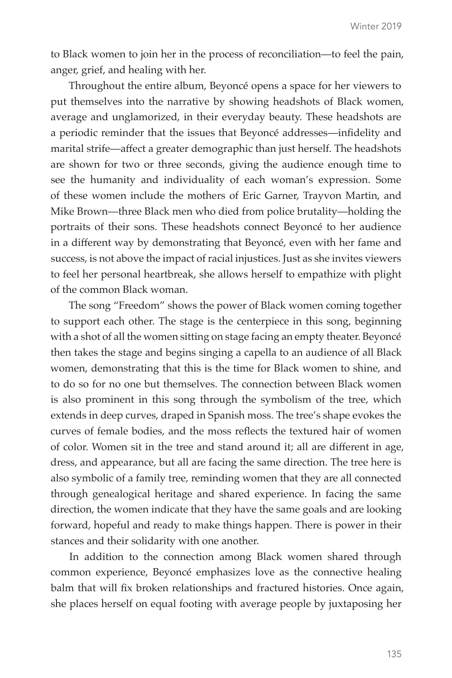to Black women to join her in the process of reconciliation—to feel the pain, anger, grief, and healing with her.

Throughout the entire album, Beyoncé opens a space for her viewers to put themselves into the narrative by showing headshots of Black women, average and unglamorized, in their everyday beauty. These headshots are a periodic reminder that the issues that Beyoncé addresses—infidelity and marital strife—affect a greater demographic than just herself. The headshots are shown for two or three seconds, giving the audience enough time to see the humanity and individuality of each woman's expression. Some of these women include the mothers of Eric Garner, Trayvon Martin, and Mike Brown—three Black men who died from police brutality—holding the portraits of their sons. These headshots connect Beyoncé to her audience in a different way by demonstrating that Beyoncé, even with her fame and success, is not above the impact of racial injustices. Just as she invites viewers to feel her personal heartbreak, she allows herself to empathize with plight of the common Black woman.

The song "Freedom" shows the power of Black women coming together to support each other. The stage is the centerpiece in this song, beginning with a shot of all the women sitting on stage facing an empty theater. Beyoncé then takes the stage and begins singing a capella to an audience of all Black women, demonstrating that this is the time for Black women to shine, and to do so for no one but themselves. The connection between Black women is also prominent in this song through the symbolism of the tree, which extends in deep curves, draped in Spanish moss. The tree's shape evokes the curves of female bodies, and the moss reflects the textured hair of women of color. Women sit in the tree and stand around it; all are different in age, dress, and appearance, but all are facing the same direction. The tree here is also symbolic of a family tree, reminding women that they are all connected through genealogical heritage and shared experience. In facing the same direction, the women indicate that they have the same goals and are looking forward, hopeful and ready to make things happen. There is power in their stances and their solidarity with one another.

In addition to the connection among Black women shared through common experience, Beyoncé emphasizes love as the connective healing balm that will fix broken relationships and fractured histories. Once again, she places herself on equal footing with average people by juxtaposing her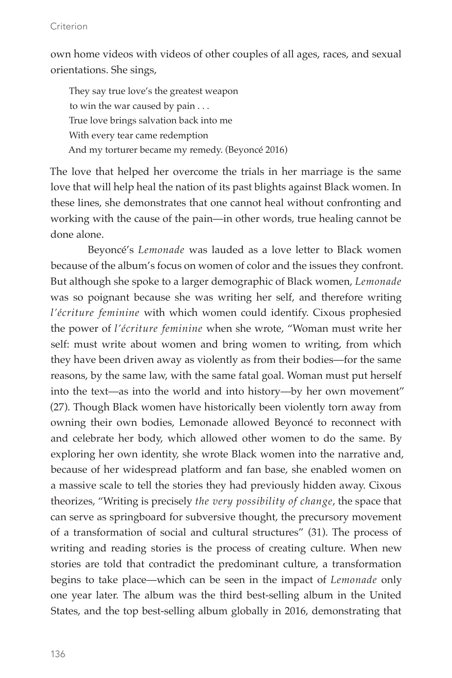#### Criterion

own home videos with videos of other couples of all ages, races, and sexual orientations. She sings,

They say true love's the greatest weapon to win the war caused by pain . . . True love brings salvation back into me With every tear came redemption And my torturer became my remedy. (Beyoncé 2016)

The love that helped her overcome the trials in her marriage is the same love that will help heal the nation of its past blights against Black women. In these lines, she demonstrates that one cannot heal without confronting and working with the cause of the pain—in other words, true healing cannot be done alone.

Beyoncé's *Lemonade* was lauded as a love letter to Black women because of the album's focus on women of color and the issues they confront. But although she spoke to a larger demographic of Black women, *Lemonade*  was so poignant because she was writing her self, and therefore writing *l'écriture feminine* with which women could identify. Cixous prophesied the power of *l'écriture feminine* when she wrote, "Woman must write her self: must write about women and bring women to writing, from which they have been driven away as violently as from their bodies—for the same reasons, by the same law, with the same fatal goal. Woman must put herself into the text—as into the world and into history—by her own movement" (27). Though Black women have historically been violently torn away from owning their own bodies, Lemonade allowed Beyoncé to reconnect with and celebrate her body, which allowed other women to do the same. By exploring her own identity, she wrote Black women into the narrative and, because of her widespread platform and fan base, she enabled women on a massive scale to tell the stories they had previously hidden away. Cixous theorizes, "Writing is precisely *the very possibility of change*, the space that can serve as springboard for subversive thought, the precursory movement of a transformation of social and cultural structures" (31). The process of writing and reading stories is the process of creating culture. When new stories are told that contradict the predominant culture, a transformation begins to take place—which can be seen in the impact of *Lemonade* only one year later. The album was the third best-selling album in the United States, and the top best-selling album globally in 2016, demonstrating that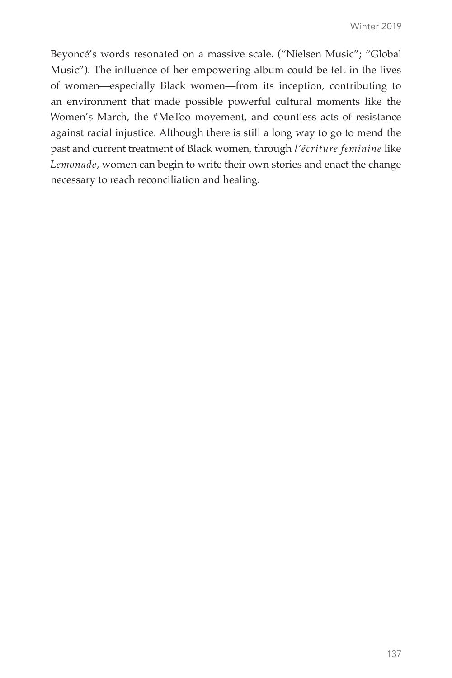Beyoncé's words resonated on a massive scale. ("Nielsen Music"; "Global Music"). The influence of her empowering album could be felt in the lives of women—especially Black women—from its inception, contributing to an environment that made possible powerful cultural moments like the Women's March, the #MeToo movement, and countless acts of resistance against racial injustice. Although there is still a long way to go to mend the past and current treatment of Black women, through *l'écriture feminine* like *Lemonade*, women can begin to write their own stories and enact the change necessary to reach reconciliation and healing.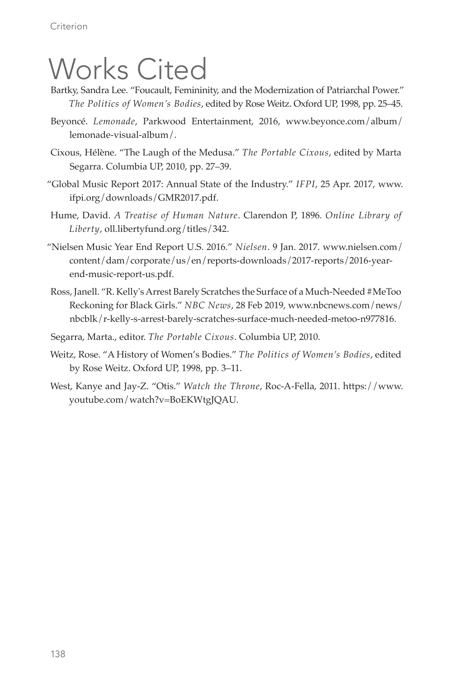# Works Cited

- Bartky, Sandra Lee. "Foucault, Femininity, and the Modernization of Patriarchal Power." *The Politics of Women's Bodies*, edited by Rose Weitz. Oxford UP, 1998, pp. 25–45.
- Beyoncé. *Lemonade*, Parkwood Entertainment, 2016, www.beyonce.com/album/ lemonade-visual-album/.
- Cixous, Hélène. "The Laugh of the Medusa." *The Portable Cixous*, edited by Marta Segarra. Columbia UP, 2010, pp. 27–39.
- "Global Music Report 2017: Annual State of the Industry." *IFPI*, 25 Apr. 2017, www. ifpi.org/downloads/GMR2017.pdf.
- Hume, David. *A Treatise of Human Nature*. Clarendon P, 1896. *Online Library of Liberty*, oll.libertyfund.org/titles/342.
- "Nielsen Music Year End Report U.S. 2016." *Nielsen*. 9 Jan. 2017. www.nielsen.com/ content/dam/corporate/us/en/reports-downloads/2017-reports/2016-yearend-music-report-us.pdf.
- Ross, Janell. "R. Kelly's Arrest Barely Scratches the Surface of a Much-Needed #MeToo Reckoning for Black Girls." *NBC News*, 28 Feb 2019, www.nbcnews.com/news/ nbcblk/r-kelly-s-arrest-barely-scratches-surface-much-needed-metoo-n977816.
- Segarra, Marta., editor. *The Portable Cixous*. Columbia UP, 2010.
- Weitz, Rose. "A History of Women's Bodies." *The Politics of Women's Bodies*, edited by Rose Weitz. Oxford UP, 1998, pp. 3–11.
- West, Kanye and Jay-Z. "Otis." *Watch the Throne*, Roc-A-Fella, 2011. https://www. youtube.com/watch?v=BoEKWtgJQAU.